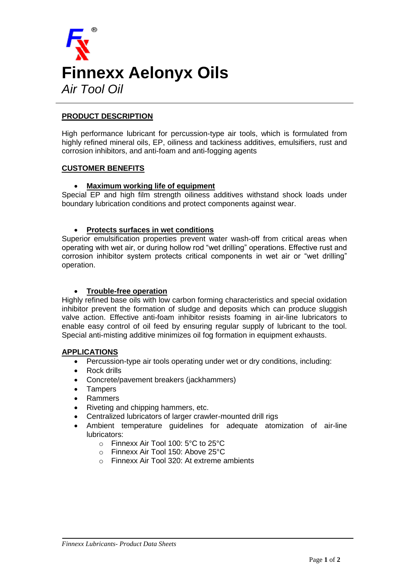

## **PRODUCT DESCRIPTION**

High performance lubricant for percussion-type air tools, which is formulated from highly refined mineral oils, EP, oiliness and tackiness additives, emulsifiers, rust and corrosion inhibitors, and anti-foam and anti-fogging agents

#### **CUSTOMER BENEFITS**

### **Maximum working life of equipment**

Special EP and high film strength oiliness additives withstand shock loads under boundary lubrication conditions and protect components against wear.

#### **Protects surfaces in wet conditions**

Superior emulsification properties prevent water wash-off from critical areas when operating with wet air, or during hollow rod "wet drilling" operations. Effective rust and corrosion inhibitor system protects critical components in wet air or "wet drilling" operation.

#### **Trouble-free operation**

Highly refined base oils with low carbon forming characteristics and special oxidation inhibitor prevent the formation of sludge and deposits which can produce sluggish valve action. Effective anti-foam inhibitor resists foaming in air-line lubricators to enable easy control of oil feed by ensuring regular supply of lubricant to the tool. Special anti-misting additive minimizes oil fog formation in equipment exhausts.

#### **APPLICATIONS**

- Percussion-type air tools operating under wet or dry conditions, including:
- Rock drills
- Concrete/pavement breakers (jackhammers)
- Tampers
- Rammers
- Riveting and chipping hammers, etc.
- Centralized lubricators of larger crawler-mounted drill rigs
- Ambient temperature guidelines for adequate atomization of air-line lubricators:
	- o Finnexx Air Tool 100: 5°C to 25°C
	- o Finnexx Air Tool 150: Above 25°C
	- o Finnexx Air Tool 320: At extreme ambients